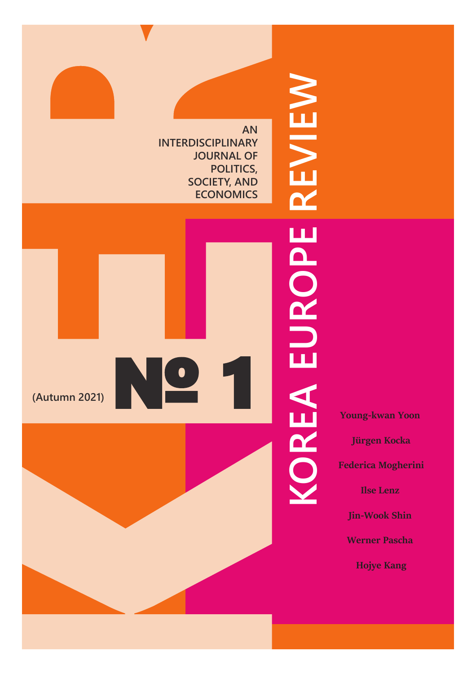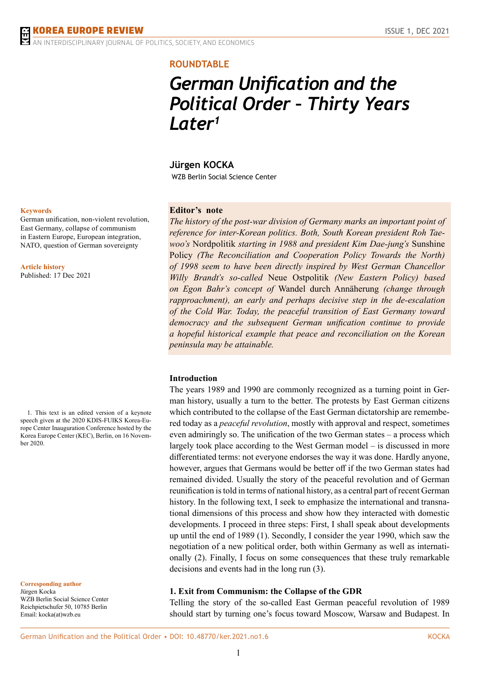**ERDISCIPLINARY JOURNAL OF POLITICS, SOCIETY, AND ECONOMICS** 

# **ROUNDTABLE**

# *German Unification and the Political Order – Thirty Years Later<sup>1</sup>*

# **Jürgen KOCKA**

WZB Berlin Social Science Center

## **Editor's note**

*The history of the post-war division of Germany marks an important point of reference for inter-Korean politics. Both, South Korean president Roh Taewoo's* Nordpolitik *starting in 1988 and president Kim Dae-jung's* Sunshine Policy *(The Reconciliation and Cooperation Policy Towards the North) of 1998 seem to have been directly inspired by West German Chancellor Willy Brandt's so-called* Neue Ostpolitik *(New Eastern Policy) based on Egon Bahr's concept of* Wandel durch Annäherung *(change through rapproachment), an early and perhaps decisive step in the de-escalation of the Cold War. Today, the peaceful transition of East Germany toward democracy and the subsequent German unification continue to provide a hopeful historical example that peace and reconciliation on the Korean peninsula may be attainable.*

#### **Introduction**

The years 1989 and 1990 are commonly recognized as a turning point in German history, usually a turn to the better. The protests by East German citizens which contributed to the collapse of the East German dictatorship are remembered today as a *peaceful revolution*, mostly with approval and respect, sometimes even admiringly so. The unification of the two German states – a process which largely took place according to the West German model – is discussed in more differentiated terms: not everyone endorses the way it was done. Hardly anyone, however, argues that Germans would be better off if the two German states had remained divided. Usually the story of the peaceful revolution and of German reunification is told in terms of national history, as a central part of recent German history. In the following text, I seek to emphasize the international and transnational dimensions of this process and show how they interacted with domestic developments. I proceed in three steps: First, I shall speak about developments up until the end of 1989 (1). Secondly, I consider the year 1990, which saw the negotiation of a new political order, both within Germany as well as internationally (2). Finally, I focus on some consequences that these truly remarkable decisions and events had in the long run (3).

#### **1. Exit from Communism: the Collapse of the GDR**

Telling the story of the so-called East German peaceful revolution of 1989 should start by turning one's focus toward Moscow, Warsaw and Budapest. In

#### **Keywords**

German unification, non-violent revolution, East Germany, collapse of communism in Eastern Europe, European integration, NATO, question of German sovereignty

**Article history** Published: 17 Dec 2021

1. This text is an edited version of a keynote speech given at the 2020 KDIS-FUIKS Korea-Europe Center Inauguration Conference hosted by the Korea Europe Center (KEC), Berlin, on 16 November 2020.

**Corresponding author** Jürgen Kocka WZB Berlin Social Science Center Reichpietschufer 50, 10785 Berlin Email: kocka(at)wzb.eu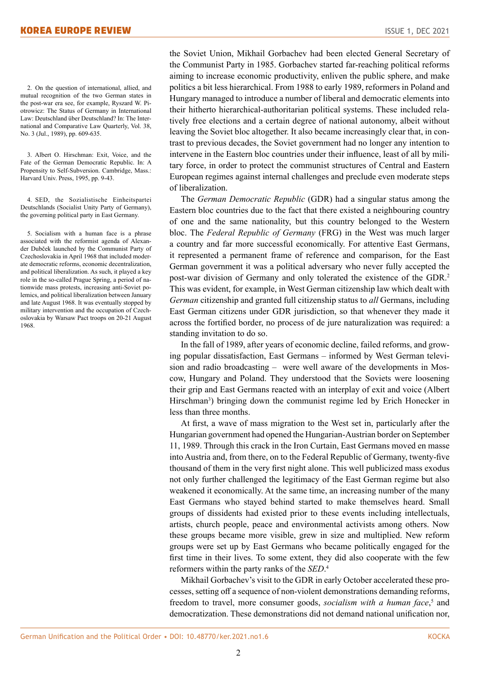2. On the question of international, allied, and mutual recognition of the two German states in the post-war era see, for example, Ryszard W. Piotrowicz: The Status of Germany in International Law: Deutschland über Deutschland? In: The International and Comparative Law Quarterly, Vol. 38, No. 3 (Jul., 1989), pp. 609-635.

3. Albert O. Hirschman: Exit, Voice, and the Fate of the German Democratic Republic. In: A Propensity to Self-Subversion. Cambridge, Mass.: Harvard Univ. Press, 1995, pp. 9-43.

4. SED, the Sozialistische Einheitspartei Deutschlands (Socialist Unity Party of Germany), the governing political party in East Germany.

5. Socialism with a human face is a phrase associated with the reformist agenda of Alexander Dubček launched by the Communist Party of Czechoslovakia in April 1968 that included moderate democratic reforms, economic decentralization, and political liberalization. As such, it played a key role in the so-called Prague Spring, a period of nationwide mass protests, increasing anti-Soviet polemics, and political liberalization between January and late August 1968. It was eventually stopped by military intervention and the occupation of Czechoslovakia by Warsaw Pact troops on 20-21 August 1968.

the Soviet Union, Mikhail Gorbachev had been elected General Secretary of the Communist Party in 1985. Gorbachev started far-reaching political reforms aiming to increase economic productivity, enliven the public sphere, and make politics a bit less hierarchical. From 1988 to early 1989, reformers in Poland and Hungary managed to introduce a number of liberal and democratic elements into their hitherto hierarchical-authoritarian political systems. These included relatively free elections and a certain degree of national autonomy, albeit without leaving the Soviet bloc altogether. It also became increasingly clear that, in contrast to previous decades, the Soviet government had no longer any intention to intervene in the Eastern bloc countries under their influence, least of all by military force, in order to protect the communist structures of Central and Eastern European regimes against internal challenges and preclude even moderate steps of liberalization.

The *German Democratic Republic* (GDR) had a singular status among the Eastern bloc countries due to the fact that there existed a neighbouring country of one and the same nationality, but this country belonged to the Western bloc. The *Federal Republic of Germany* (FRG) in the West was much larger a country and far more successful economically. For attentive East Germans, it represented a permanent frame of reference and comparison, for the East German government it was a political adversary who never fully accepted the post-war division of Germany and only tolerated the existence of the GDR.<sup>2</sup> This was evident, for example, in West German citizenship law which dealt with *German* citizenship and granted full citizenship status to *all* Germans, including East German citizens under GDR jurisdiction, so that whenever they made it across the fortified border, no process of de jure naturalization was required: a standing invitation to do so.

In the fall of 1989, after years of economic decline, failed reforms, and growing popular dissatisfaction, East Germans – informed by West German television and radio broadcasting – were well aware of the developments in Moscow, Hungary and Poland. They understood that the Soviets were loosening their grip and East Germans reacted with an interplay of exit and voice (Albert Hirschman<sup>3</sup>) bringing down the communist regime led by Erich Honecker in less than three months.

At first, a wave of mass migration to the West set in, particularly after the Hungarian government had opened the Hungarian-Austrian border on September 11, 1989. Through this crack in the Iron Curtain, East Germans moved en masse into Austria and, from there, on to the Federal Republic of Germany, twenty-five thousand of them in the very first night alone. This well publicized mass exodus not only further challenged the legitimacy of the East German regime but also weakened it economically. At the same time, an increasing number of the many East Germans who stayed behind started to make themselves heard. Small groups of dissidents had existed prior to these events including intellectuals, artists, church people, peace and environmental activists among others. Now these groups became more visible, grew in size and multiplied. New reform groups were set up by East Germans who became politically engaged for the first time in their lives. To some extent, they did also cooperate with the few reformers within the party ranks of the *SED*. 4

Mikhail Gorbachev's visit to the GDR in early October accelerated these processes, setting off a sequence of non-violent demonstrations demanding reforms, freedom to travel, more consumer goods, *socialism with a human face*,<sup>5</sup> and democratization. These demonstrations did not demand national unification nor,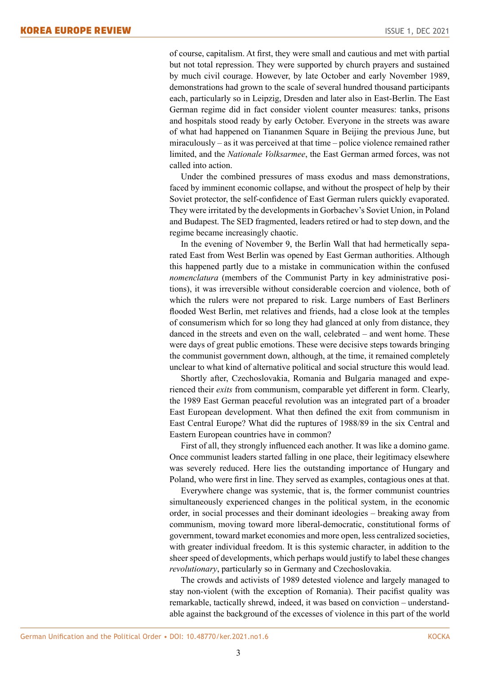of course, capitalism. At first, they were small and cautious and met with partial but not total repression. They were supported by church prayers and sustained by much civil courage. However, by late October and early November 1989, demonstrations had grown to the scale of several hundred thousand participants each, particularly so in Leipzig, Dresden and later also in East-Berlin. The East German regime did in fact consider violent counter measures: tanks, prisons and hospitals stood ready by early October. Everyone in the streets was aware of what had happened on Tiananmen Square in Beijing the previous June, but miraculously – as it was perceived at that time – police violence remained rather limited, and the *Nationale Volksarmee*, the East German armed forces, was not called into action.

Under the combined pressures of mass exodus and mass demonstrations, faced by imminent economic collapse, and without the prospect of help by their Soviet protector, the self-confidence of East German rulers quickly evaporated. They were irritated by the developments in Gorbachev's Soviet Union, in Poland and Budapest. The SED fragmented, leaders retired or had to step down, and the regime became increasingly chaotic.

In the evening of November 9, the Berlin Wall that had hermetically separated East from West Berlin was opened by East German authorities. Although this happened partly due to a mistake in communication within the confused *nomenclatura* (members of the Communist Party in key administrative positions), it was irreversible without considerable coercion and violence, both of which the rulers were not prepared to risk. Large numbers of East Berliners flooded West Berlin, met relatives and friends, had a close look at the temples of consumerism which for so long they had glanced at only from distance, they danced in the streets and even on the wall, celebrated – and went home. These were days of great public emotions. These were decisive steps towards bringing the communist government down, although, at the time, it remained completely unclear to what kind of alternative political and social structure this would lead.

Shortly after, Czechoslovakia, Romania and Bulgaria managed and experienced their *exits* from communism, comparable yet different in form. Clearly, the 1989 East German peaceful revolution was an integrated part of a broader East European development. What then defined the exit from communism in East Central Europe? What did the ruptures of 1988/89 in the six Central and Eastern European countries have in common?

First of all, they strongly influenced each another. It was like a domino game. Once communist leaders started falling in one place, their legitimacy elsewhere was severely reduced. Here lies the outstanding importance of Hungary and Poland, who were first in line. They served as examples, contagious ones at that.

Everywhere change was systemic, that is, the former communist countries simultaneously experienced changes in the political system, in the economic order, in social processes and their dominant ideologies – breaking away from communism, moving toward more liberal-democratic, constitutional forms of government, toward market economies and more open, less centralized societies, with greater individual freedom. It is this systemic character, in addition to the sheer speed of developments, which perhaps would justify to label these changes *revolutionary*, particularly so in Germany and Czechoslovakia.

The crowds and activists of 1989 detested violence and largely managed to stay non-violent (with the exception of Romania). Their pacifist quality was remarkable, tactically shrewd, indeed, it was based on conviction – understandable against the background of the excesses of violence in this part of the world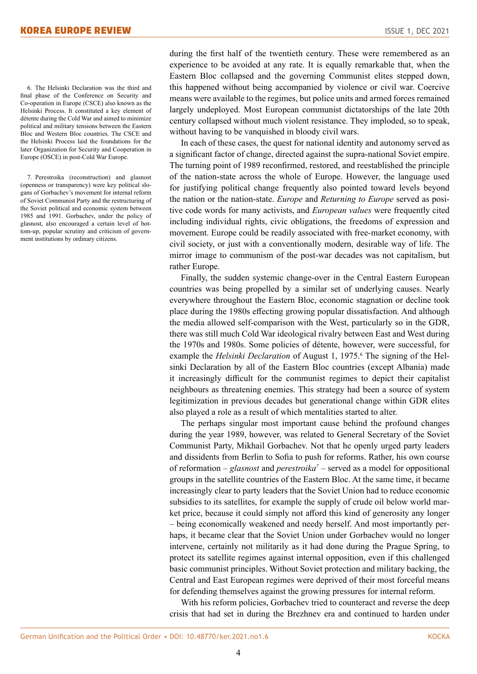6. The Helsinki Declaration was the third and final phase of the Conference on Security and Co-operation in Europe (CSCE) also known as the Helsinki Process. It constituted a key element of détente during the Cold War and aimed to minimize political and military tensions between the Eastern Bloc and Western Bloc countries. The CSCE and the Helsinki Process laid the foundations for the later Organization for Security and Cooperation in Europe (OSCE) in post-Cold War Europe.

7. Perestroika (reconstruction) and glasnost (openness or transparency) were key political slogans of Gorbachev's movement for internal reform of Soviet Communist Party and the restructuring of the Soviet political and economic system between 1985 and 1991. Gorbachev, under the policy of glasnost, also encouraged a certain level of bottom-up, popular scrutiny and criticism of government institutions by ordinary citizens.

during the first half of the twentieth century. These were remembered as an experience to be avoided at any rate. It is equally remarkable that, when the Eastern Bloc collapsed and the governing Communist elites stepped down, this happened without being accompanied by violence or civil war. Coercive means were available to the regimes, but police units and armed forces remained largely undeployed. Most European communist dictatorships of the late 20th century collapsed without much violent resistance. They imploded, so to speak, without having to be vanquished in bloody civil wars.

In each of these cases, the quest for national identity and autonomy served as a significant factor of change, directed against the supra-national Soviet empire. The turning point of 1989 reconfirmed, restored, and reestablished the principle of the nation-state across the whole of Europe. However, the language used for justifying political change frequently also pointed toward levels beyond the nation or the nation-state. *Europe* and *Returning to Europe* served as positive code words for many activists, and *European values* were frequently cited including individual rights, civic obligations, the freedoms of expression and movement. Europe could be readily associated with free-market economy, with civil society, or just with a conventionally modern, desirable way of life. The mirror image to communism of the post-war decades was not capitalism, but rather Europe.

Finally, the sudden systemic change-over in the Central Eastern European countries was being propelled by a similar set of underlying causes. Nearly everywhere throughout the Eastern Bloc, economic stagnation or decline took place during the 1980s effecting growing popular dissatisfaction. And although the media allowed self-comparison with the West, particularly so in the GDR, there was still much Cold War ideological rivalry between East and West during the 1970s and 1980s. Some policies of détente, however, were successful, for example the *Helsinki Declaration* of August 1, 1975.<sup>6</sup> The signing of the Helsinki Declaration by all of the Eastern Bloc countries (except Albania) made it increasingly difficult for the communist regimes to depict their capitalist neighbours as threatening enemies. This strategy had been a source of system legitimization in previous decades but generational change within GDR elites also played a role as a result of which mentalities started to alter.

The perhaps singular most important cause behind the profound changes during the year 1989, however, was related to General Secretary of the Soviet Communist Party, Mikhail Gorbachev. Not that he openly urged party leaders and dissidents from Berlin to Sofia to push for reforms. Rather, his own course of reformation – *glasnost* and *perestroika<sup>7</sup>* – served as a model for oppositional groups in the satellite countries of the Eastern Bloc. At the same time, it became increasingly clear to party leaders that the Soviet Union had to reduce economic subsidies to its satellites, for example the supply of crude oil below world market price, because it could simply not afford this kind of generosity any longer – being economically weakened and needy herself. And most importantly perhaps, it became clear that the Soviet Union under Gorbachev would no longer intervene, certainly not militarily as it had done during the Prague Spring, to protect its satellite regimes against internal opposition, even if this challenged basic communist principles. Without Soviet protection and military backing, the Central and East European regimes were deprived of their most forceful means for defending themselves against the growing pressures for internal reform.

With his reform policies, Gorbachev tried to counteract and reverse the deep crisis that had set in during the Brezhnev era and continued to harden under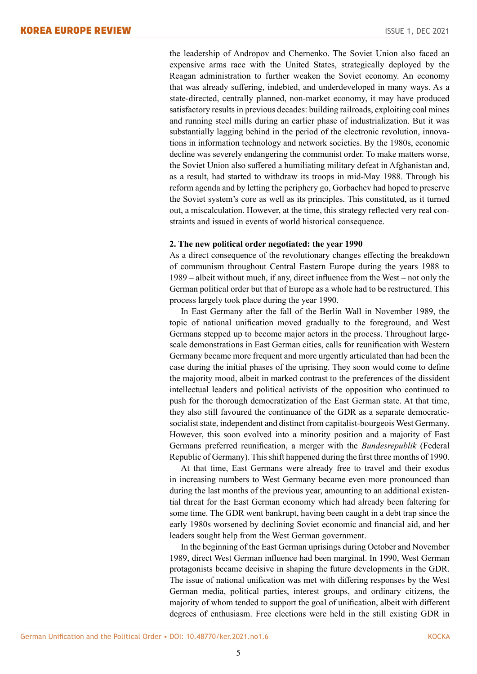the leadership of Andropov and Chernenko. The Soviet Union also faced an expensive arms race with the United States, strategically deployed by the Reagan administration to further weaken the Soviet economy. An economy that was already suffering, indebted, and underdeveloped in many ways. As a state-directed, centrally planned, non-market economy, it may have produced satisfactory results in previous decades: building railroads, exploiting coal mines and running steel mills during an earlier phase of industrialization. But it was substantially lagging behind in the period of the electronic revolution, innovations in information technology and network societies. By the 1980s, economic decline was severely endangering the communist order. To make matters worse, the Soviet Union also suffered a humiliating military defeat in Afghanistan and, as a result, had started to withdraw its troops in mid-May 1988. Through his reform agenda and by letting the periphery go, Gorbachev had hoped to preserve the Soviet system's core as well as its principles. This constituted, as it turned out, a miscalculation. However, at the time, this strategy reflected very real constraints and issued in events of world historical consequence.

## **2. The new political order negotiated: the year 1990**

As a direct consequence of the revolutionary changes effecting the breakdown of communism throughout Central Eastern Europe during the years 1988 to 1989 – albeit without much, if any, direct influence from the West – not only the German political order but that of Europe as a whole had to be restructured. This process largely took place during the year 1990.

In East Germany after the fall of the Berlin Wall in November 1989, the topic of national unification moved gradually to the foreground, and West Germans stepped up to become major actors in the process. Throughout largescale demonstrations in East German cities, calls for reunification with Western Germany became more frequent and more urgently articulated than had been the case during the initial phases of the uprising. They soon would come to define the majority mood, albeit in marked contrast to the preferences of the dissident intellectual leaders and political activists of the opposition who continued to push for the thorough democratization of the East German state. At that time, they also still favoured the continuance of the GDR as a separate democraticsocialist state, independent and distinct from capitalist-bourgeois West Germany. However, this soon evolved into a minority position and a majority of East Germans preferred reunification, a merger with the *Bundesrepublik* (Federal Republic of Germany). This shift happened during the first three months of 1990.

At that time, East Germans were already free to travel and their exodus in increasing numbers to West Germany became even more pronounced than during the last months of the previous year, amounting to an additional existential threat for the East German economy which had already been faltering for some time. The GDR went bankrupt, having been caught in a debt trap since the early 1980s worsened by declining Soviet economic and financial aid, and her leaders sought help from the West German government.

In the beginning of the East German uprisings during October and November 1989, direct West German influence had been marginal. In 1990, West German protagonists became decisive in shaping the future developments in the GDR. The issue of national unification was met with differing responses by the West German media, political parties, interest groups, and ordinary citizens, the majority of whom tended to support the goal of unification, albeit with different degrees of enthusiasm. Free elections were held in the still existing GDR in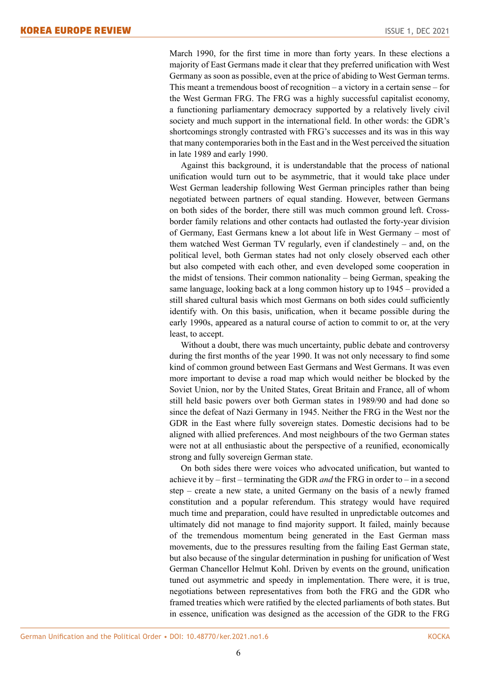March 1990, for the first time in more than forty years. In these elections a majority of East Germans made it clear that they preferred unification with West Germany as soon as possible, even at the price of abiding to West German terms. This meant a tremendous boost of recognition – a victory in a certain sense – for the West German FRG. The FRG was a highly successful capitalist economy, a functioning parliamentary democracy supported by a relatively lively civil society and much support in the international field. In other words: the GDR's shortcomings strongly contrasted with FRG's successes and its was in this way that many contemporaries both in the East and in the West perceived the situation in late 1989 and early 1990.

Against this background, it is understandable that the process of national unification would turn out to be asymmetric, that it would take place under West German leadership following West German principles rather than being negotiated between partners of equal standing. However, between Germans on both sides of the border, there still was much common ground left. Crossborder family relations and other contacts had outlasted the forty-year division of Germany, East Germans knew a lot about life in West Germany – most of them watched West German TV regularly, even if clandestinely – and, on the political level, both German states had not only closely observed each other but also competed with each other, and even developed some cooperation in the midst of tensions. Their common nationality – being German, speaking the same language, looking back at a long common history up to 1945 – provided a still shared cultural basis which most Germans on both sides could sufficiently identify with. On this basis, unification, when it became possible during the early 1990s, appeared as a natural course of action to commit to or, at the very least, to accept.

Without a doubt, there was much uncertainty, public debate and controversy during the first months of the year 1990. It was not only necessary to find some kind of common ground between East Germans and West Germans. It was even more important to devise a road map which would neither be blocked by the Soviet Union, nor by the United States, Great Britain and France, all of whom still held basic powers over both German states in 1989/90 and had done so since the defeat of Nazi Germany in 1945. Neither the FRG in the West nor the GDR in the East where fully sovereign states. Domestic decisions had to be aligned with allied preferences. And most neighbours of the two German states were not at all enthusiastic about the perspective of a reunified, economically strong and fully sovereign German state.

On both sides there were voices who advocated unification, but wanted to achieve it by – first – terminating the GDR *and* the FRG in order to – in a second step – create a new state, a united Germany on the basis of a newly framed constitution and a popular referendum. This strategy would have required much time and preparation, could have resulted in unpredictable outcomes and ultimately did not manage to find majority support. It failed, mainly because of the tremendous momentum being generated in the East German mass movements, due to the pressures resulting from the failing East German state, but also because of the singular determination in pushing for unification of West German Chancellor Helmut Kohl. Driven by events on the ground, unification tuned out asymmetric and speedy in implementation. There were, it is true, negotiations between representatives from both the FRG and the GDR who framed treaties which were ratified by the elected parliaments of both states. But in essence, unification was designed as the accession of the GDR to the FRG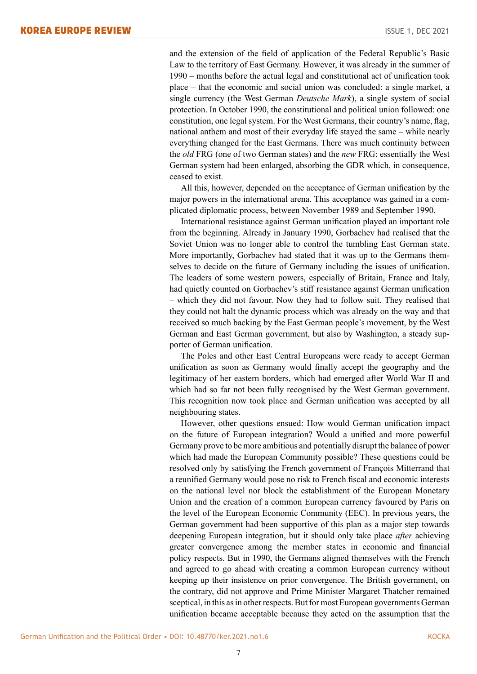and the extension of the field of application of the Federal Republic's Basic Law to the territory of East Germany. However, it was already in the summer of 1990 – months before the actual legal and constitutional act of unification took place – that the economic and social union was concluded: a single market, a single currency (the West German *Deutsche Mark*), a single system of social protection. In October 1990, the constitutional and political union followed: one constitution, one legal system. For the West Germans, their country's name, flag, national anthem and most of their everyday life stayed the same – while nearly everything changed for the East Germans. There was much continuity between the *old* FRG (one of two German states) and the *new* FRG: essentially the West German system had been enlarged, absorbing the GDR which, in consequence, ceased to exist.

All this, however, depended on the acceptance of German unification by the major powers in the international arena. This acceptance was gained in a complicated diplomatic process, between November 1989 and September 1990.

International resistance against German unification played an important role from the beginning. Already in January 1990, Gorbachev had realised that the Soviet Union was no longer able to control the tumbling East German state. More importantly, Gorbachev had stated that it was up to the Germans themselves to decide on the future of Germany including the issues of unification. The leaders of some western powers, especially of Britain, France and Italy, had quietly counted on Gorbachev's stiff resistance against German unification – which they did not favour. Now they had to follow suit. They realised that they could not halt the dynamic process which was already on the way and that received so much backing by the East German people's movement, by the West German and East German government, but also by Washington, a steady supporter of German unification.

The Poles and other East Central Europeans were ready to accept German unification as soon as Germany would finally accept the geography and the legitimacy of her eastern borders, which had emerged after World War II and which had so far not been fully recognised by the West German government. This recognition now took place and German unification was accepted by all neighbouring states.

However, other questions ensued: How would German unification impact on the future of European integration? Would a unified and more powerful Germany prove to be more ambitious and potentially disrupt the balance of power which had made the European Community possible? These questions could be resolved only by satisfying the French government of François Mitterrand that a reunified Germany would pose no risk to French fiscal and economic interests on the national level nor block the establishment of the European Monetary Union and the creation of a common European currency favoured by Paris on the level of the European Economic Community (EEC). In previous years, the German government had been supportive of this plan as a major step towards deepening European integration, but it should only take place *after* achieving greater convergence among the member states in economic and financial policy respects. But in 1990, the Germans aligned themselves with the French and agreed to go ahead with creating a common European currency without keeping up their insistence on prior convergence. The British government, on the contrary, did not approve and Prime Minister Margaret Thatcher remained sceptical, in this as in other respects. But for most European governments German unification became acceptable because they acted on the assumption that the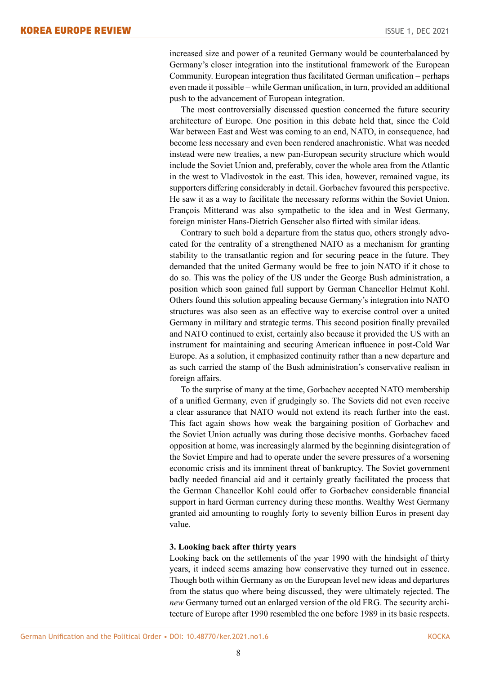increased size and power of a reunited Germany would be counterbalanced by Germany's closer integration into the institutional framework of the European Community. European integration thus facilitated German unification – perhaps even made it possible – while German unification, in turn, provided an additional push to the advancement of European integration.

The most controversially discussed question concerned the future security architecture of Europe. One position in this debate held that, since the Cold War between East and West was coming to an end, NATO, in consequence, had become less necessary and even been rendered anachronistic. What was needed instead were new treaties, a new pan-European security structure which would include the Soviet Union and, preferably, cover the whole area from the Atlantic in the west to Vladivostok in the east. This idea, however, remained vague, its supporters differing considerably in detail. Gorbachev favoured this perspective. He saw it as a way to facilitate the necessary reforms within the Soviet Union. François Mitterand was also sympathetic to the idea and in West Germany, foreign minister Hans-Dietrich Genscher also flirted with similar ideas.

Contrary to such bold a departure from the status quo, others strongly advocated for the centrality of a strengthened NATO as a mechanism for granting stability to the transatlantic region and for securing peace in the future. They demanded that the united Germany would be free to join NATO if it chose to do so. This was the policy of the US under the George Bush administration, a position which soon gained full support by German Chancellor Helmut Kohl. Others found this solution appealing because Germany's integration into NATO structures was also seen as an effective way to exercise control over a united Germany in military and strategic terms. This second position finally prevailed and NATO continued to exist, certainly also because it provided the US with an instrument for maintaining and securing American influence in post-Cold War Europe. As a solution, it emphasized continuity rather than a new departure and as such carried the stamp of the Bush administration's conservative realism in foreign affairs.

To the surprise of many at the time, Gorbachev accepted NATO membership of a unified Germany, even if grudgingly so. The Soviets did not even receive a clear assurance that NATO would not extend its reach further into the east. This fact again shows how weak the bargaining position of Gorbachev and the Soviet Union actually was during those decisive months. Gorbachev faced opposition at home, was increasingly alarmed by the beginning disintegration of the Soviet Empire and had to operate under the severe pressures of a worsening economic crisis and its imminent threat of bankruptcy. The Soviet government badly needed financial aid and it certainly greatly facilitated the process that the German Chancellor Kohl could offer to Gorbachev considerable financial support in hard German currency during these months. Wealthy West Germany granted aid amounting to roughly forty to seventy billion Euros in present day value.

#### **3. Looking back after thirty years**

Looking back on the settlements of the year 1990 with the hindsight of thirty years, it indeed seems amazing how conservative they turned out in essence. Though both within Germany as on the European level new ideas and departures from the status quo where being discussed, they were ultimately rejected. The *new* Germany turned out an enlarged version of the old FRG. The security architecture of Europe after 1990 resembled the one before 1989 in its basic respects.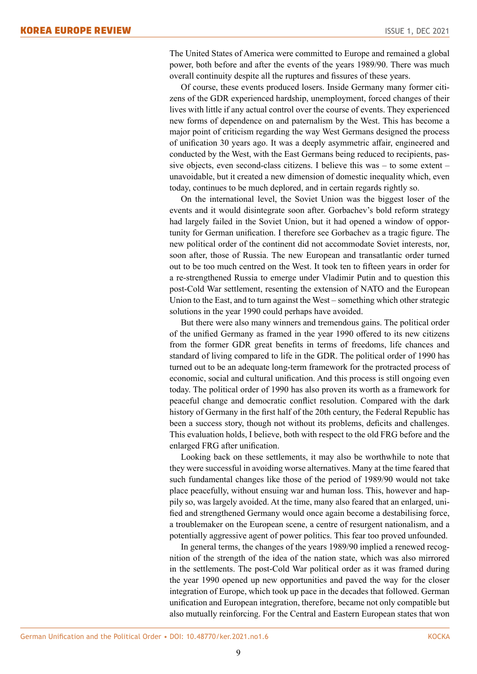The United States of America were committed to Europe and remained a global power, both before and after the events of the years 1989/90. There was much overall continuity despite all the ruptures and fissures of these years.

Of course, these events produced losers. Inside Germany many former citizens of the GDR experienced hardship, unemployment, forced changes of their lives with little if any actual control over the course of events. They experienced new forms of dependence on and paternalism by the West. This has become a major point of criticism regarding the way West Germans designed the process of unification 30 years ago. It was a deeply asymmetric affair, engineered and conducted by the West, with the East Germans being reduced to recipients, passive objects, even second-class citizens. I believe this was – to some extent – unavoidable, but it created a new dimension of domestic inequality which, even today, continues to be much deplored, and in certain regards rightly so.

On the international level, the Soviet Union was the biggest loser of the events and it would disintegrate soon after. Gorbachev's bold reform strategy had largely failed in the Soviet Union, but it had opened a window of opportunity for German unification. I therefore see Gorbachev as a tragic figure. The new political order of the continent did not accommodate Soviet interests, nor, soon after, those of Russia. The new European and transatlantic order turned out to be too much centred on the West. It took ten to fifteen years in order for a re-strengthened Russia to emerge under Vladimir Putin and to question this post-Cold War settlement, resenting the extension of NATO and the European Union to the East, and to turn against the West – something which other strategic solutions in the year 1990 could perhaps have avoided.

But there were also many winners and tremendous gains. The political order of the unified Germany as framed in the year 1990 offered to its new citizens from the former GDR great benefits in terms of freedoms, life chances and standard of living compared to life in the GDR. The political order of 1990 has turned out to be an adequate long-term framework for the protracted process of economic, social and cultural unification. And this process is still ongoing even today. The political order of 1990 has also proven its worth as a framework for peaceful change and democratic conflict resolution. Compared with the dark history of Germany in the first half of the 20th century, the Federal Republic has been a success story, though not without its problems, deficits and challenges. This evaluation holds, I believe, both with respect to the old FRG before and the enlarged FRG after unification.

Looking back on these settlements, it may also be worthwhile to note that they were successful in avoiding worse alternatives. Many at the time feared that such fundamental changes like those of the period of 1989/90 would not take place peacefully, without ensuing war and human loss. This, however and happily so, was largely avoided. At the time, many also feared that an enlarged, unified and strengthened Germany would once again become a destabilising force, a troublemaker on the European scene, a centre of resurgent nationalism, and a potentially aggressive agent of power politics. This fear too proved unfounded.

In general terms, the changes of the years 1989/90 implied a renewed recognition of the strength of the idea of the nation state, which was also mirrored in the settlements. The post-Cold War political order as it was framed during the year 1990 opened up new opportunities and paved the way for the closer integration of Europe, which took up pace in the decades that followed. German unification and European integration, therefore, became not only compatible but also mutually reinforcing. For the Central and Eastern European states that won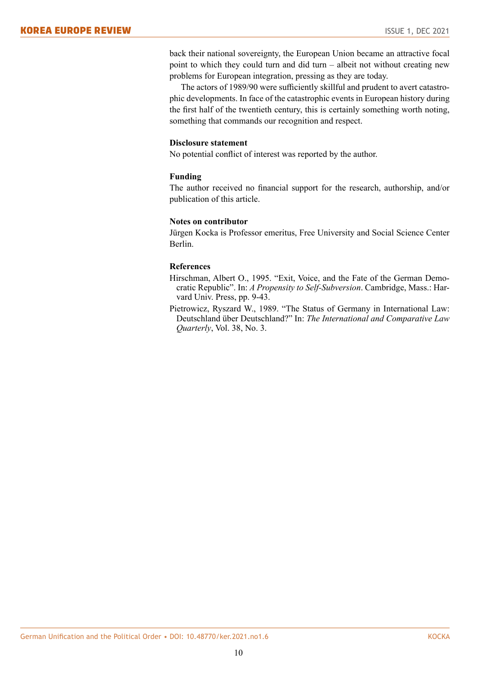back their national sovereignty, the European Union became an attractive focal point to which they could turn and did turn – albeit not without creating new problems for European integration, pressing as they are today.

The actors of 1989/90 were sufficiently skillful and prudent to avert catastrophic developments. In face of the catastrophic events in European history during the first half of the twentieth century, this is certainly something worth noting, something that commands our recognition and respect.

# **Disclosure statement**

No potential conflict of interest was reported by the author.

# **Funding**

The author received no financial support for the research, authorship, and/or publication of this article.

# **Notes on contributor**

Jürgen Kocka is Professor emeritus, Free University and Social Science Center Berlin.

# **References**

- Hirschman, Albert O., 1995. "Exit, Voice, and the Fate of the German Democratic Republic". In: *A Propensity to Self-Subversion*. Cambridge, Mass.: Harvard Univ. Press, pp. 9-43.
- Pietrowicz, Ryszard W., 1989. "The Status of Germany in International Law: Deutschland über Deutschland?" In: *The International and Comparative Law Quarterly*, Vol. 38, No. 3.